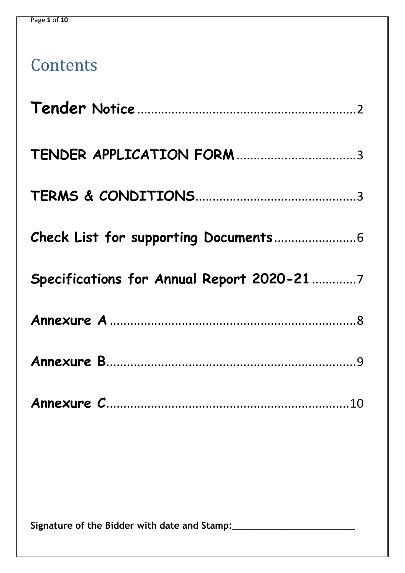# **Contents**

| Specifications for Annual Report 2020-21 7 |  |
|--------------------------------------------|--|
|                                            |  |
|                                            |  |
|                                            |  |
|                                            |  |
|                                            |  |
|                                            |  |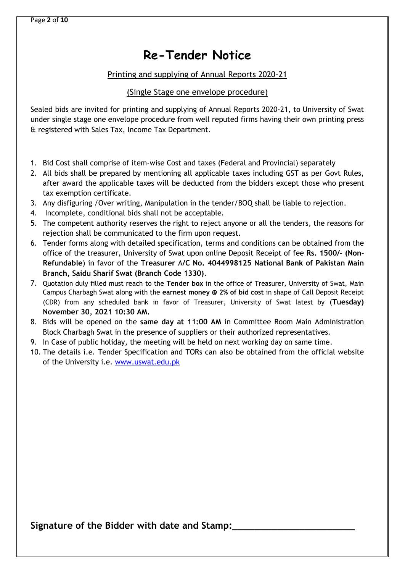## **Re-Tender Notice**

### Printing and supplying of Annual Reports 2020-21

### (Single Stage one envelope procedure)

<span id="page-1-0"></span>Sealed bids are invited for printing and supplying of Annual Reports 2020-21, to University of Swat under single stage one envelope procedure from well reputed firms having their own printing press & registered with Sales Tax, Income Tax Department.

- 1. Bid Cost shall comprise of item-wise Cost and taxes (Federal and Provincial) separately
- 2. All bids shall be prepared by mentioning all applicable taxes including GST as per Govt Rules, after award the applicable taxes will be deducted from the bidders except those who present tax exemption certificate.
- 3. Any disfiguring /Over writing, Manipulation in the tender/BOQ shall be liable to rejection.
- 4. Incomplete, conditional bids shall not be acceptable.
- 5. The competent authority reserves the right to reject anyone or all the tenders, the reasons for rejection shall be communicated to the firm upon request.
- 6. Tender forms along with detailed specification, terms and conditions can be obtained from the office of the treasurer, University of Swat upon online Deposit Receipt of fee **Rs. 1500/- (Non-Refundable**) in favor of the **Treasurer** A**/C No. 4044998125 National Bank of Pakistan Main Branch, Saidu Sharif Swat (Branch Code 1330)**.
- 7. Quotation duly filled must reach to the **Tender box** in the office of Treasurer, University of Swat, Main Campus Charbagh Swat along with the **earnest money @ 2% of bid cost** in shape of Call Deposit Receipt (CDR) from any scheduled bank in favor of Treasurer, University of Swat latest by (**Tuesday) November 30, 2021 10:30 AM.**
- 8. Bids will be opened on the **same day at 11:00 AM** in Committee Room Main Administration Block Charbagh Swat in the presence of suppliers or their authorized representatives.
- 9. In Case of public holiday, the meeting will be held on next working day on same time.
- 10. The details i.e. Tender Specification and TORs can also be obtained from the official website of the University i.e. [www.uswat.edu.pk](http://www.uswat.edu.pk/)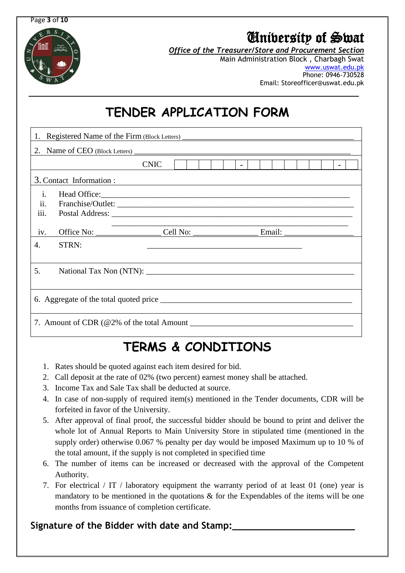Page **3** of **10**



# University of Swat

*Office of the Treasurer/Store and Procurement Section*

Main Administration Block , Charbagh Swat [www.uswat.edu.pk](http://www.uswat.edu.pk/) Phone: 0946-730528 Email: Storeofficer@uswat.edu.pk

# **TENDER APPLICATION FORM**

<span id="page-2-0"></span>

| 1. Registered Name of the Firm (Block Letters) _________________________________ |                          |             |  |  |  |  |  |  |  |  |  |  |  |
|----------------------------------------------------------------------------------|--------------------------|-------------|--|--|--|--|--|--|--|--|--|--|--|
|                                                                                  |                          |             |  |  |  |  |  |  |  |  |  |  |  |
|                                                                                  |                          | <b>CNIC</b> |  |  |  |  |  |  |  |  |  |  |  |
|                                                                                  | 3. Contact Information : |             |  |  |  |  |  |  |  |  |  |  |  |
| $\mathbf{i}$ .<br>ii.<br>iii.                                                    |                          |             |  |  |  |  |  |  |  |  |  |  |  |
| iv.                                                                              |                          |             |  |  |  |  |  |  |  |  |  |  |  |
| 4.                                                                               | STRN:                    |             |  |  |  |  |  |  |  |  |  |  |  |
| 5.                                                                               |                          |             |  |  |  |  |  |  |  |  |  |  |  |
|                                                                                  |                          |             |  |  |  |  |  |  |  |  |  |  |  |
|                                                                                  |                          |             |  |  |  |  |  |  |  |  |  |  |  |

# **TERMS & CONDITIONS**

- <span id="page-2-1"></span>1. Rates should be quoted against each item desired for bid.
- 2. Call deposit at the rate of 02% (two percent) earnest money shall be attached.
- 3. Income Tax and Sale Tax shall be deducted at source.
- 4. In case of non-supply of required item(s) mentioned in the Tender documents, CDR will be forfeited in favor of the University.
- 5. After approval of final proof, the successful bidder should be bound to print and deliver the whole lot of Annual Reports to Main University Store in stipulated time (mentioned in the supply order) otherwise 0.067 % penalty per day would be imposed Maximum up to 10 % of the total amount, if the supply is not completed in specified time
- 6. The number of items can be increased or decreased with the approval of the Competent Authority.
- 7. For electrical / IT / laboratory equipment the warranty period of at least 01 (one) year is mandatory to be mentioned in the quotations  $\&$  for the Expendables of the items will be one months from issuance of completion certificate.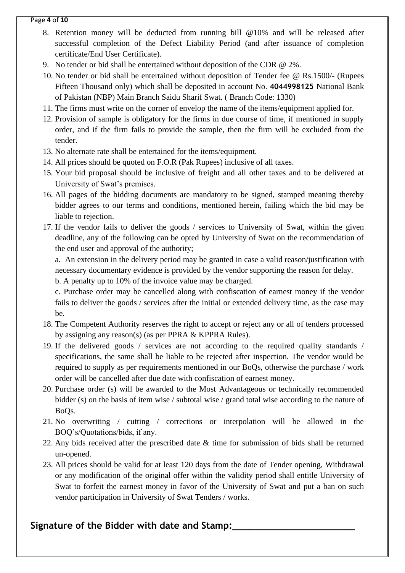#### Page **4** of **10**

- 8. Retention money will be deducted from running bill @10% and will be released after successful completion of the Defect Liability Period (and after issuance of completion certificate/End User Certificate).
- 9. No tender or bid shall be entertained without deposition of the CDR @ 2%.
- 10. No tender or bid shall be entertained without deposition of Tender fee @ Rs.1500/- (Rupees Fifteen Thousand only) which shall be deposited in account No. **4044998125** National Bank of Pakistan (NBP) Main Branch Saidu Sharif Swat. ( Branch Code: 1330)
- 11. The firms must write on the corner of envelop the name of the items/equipment applied for.
- 12. Provision of sample is obligatory for the firms in due course of time, if mentioned in supply order, and if the firm fails to provide the sample, then the firm will be excluded from the tender.
- 13. No alternate rate shall be entertained for the items/equipment.
- 14. All prices should be quoted on F.O.R (Pak Rupees) inclusive of all taxes.
- 15. Your bid proposal should be inclusive of freight and all other taxes and to be delivered at University of Swat's premises.
- 16. All pages of the bidding documents are mandatory to be signed, stamped meaning thereby bidder agrees to our terms and conditions, mentioned herein, failing which the bid may be liable to rejection.
- 17. If the vendor fails to deliver the goods / services to University of Swat, within the given deadline, any of the following can be opted by University of Swat on the recommendation of the end user and approval of the authority;

a. An extension in the delivery period may be granted in case a valid reason/justification with necessary documentary evidence is provided by the vendor supporting the reason for delay.

b. A penalty up to 10% of the invoice value may be charged.

c. Purchase order may be cancelled along with confiscation of earnest money if the vendor fails to deliver the goods / services after the initial or extended delivery time, as the case may be.

- 18. The Competent Authority reserves the right to accept or reject any or all of tenders processed by assigning any reason(s) (as per PPRA & KPPRA Rules).
- 19. If the delivered goods / services are not according to the required quality standards / specifications, the same shall be liable to be rejected after inspection. The vendor would be required to supply as per requirements mentioned in our BoQs, otherwise the purchase / work order will be cancelled after due date with confiscation of earnest money.
- 20. Purchase order (s) will be awarded to the Most Advantageous or technically recommended bidder (s) on the basis of item wise / subtotal wise / grand total wise according to the nature of BoQs.
- 21. No overwriting / cutting / corrections or interpolation will be allowed in the BOQ's/Quotations/bids, if any.
- 22. Any bids received after the prescribed date & time for submission of bids shall be returned un-opened.
- 23. All prices should be valid for at least 120 days from the date of Tender opening, Withdrawal or any modification of the original offer within the validity period shall entitle University of Swat to forfeit the earnest money in favor of the University of Swat and put a ban on such vendor participation in University of Swat Tenders / works.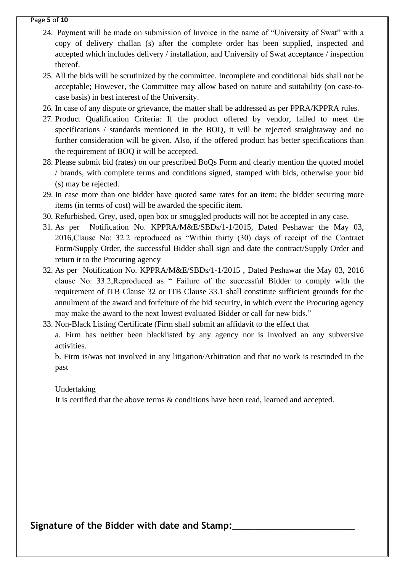#### Page **5** of **10**

- 24. Payment will be made on submission of Invoice in the name of "University of Swat" with a copy of delivery challan (s) after the complete order has been supplied, inspected and accepted which includes delivery / installation, and University of Swat acceptance / inspection thereof.
- 25. All the bids will be scrutinized by the committee. Incomplete and conditional bids shall not be acceptable; However, the Committee may allow based on nature and suitability (on case-tocase basis) in best interest of the University.
- 26. In case of any dispute or grievance, the matter shall be addressed as per PPRA/KPPRA rules.
- 27. Product Qualification Criteria: If the product offered by vendor, failed to meet the specifications / standards mentioned in the BOQ, it will be rejected straightaway and no further consideration will be given. Also, if the offered product has better specifications than the requirement of BOQ it will be accepted.
- 28. Please submit bid (rates) on our prescribed BoQs Form and clearly mention the quoted model / brands, with complete terms and conditions signed, stamped with bids, otherwise your bid (s) may be rejected.
- 29. In case more than one bidder have quoted same rates for an item; the bidder securing more items (in terms of cost) will be awarded the specific item.
- 30. Refurbished, Grey, used, open box or smuggled products will not be accepted in any case.
- 31. As per [Notification No. KPPRA/M&E/SBDs/1-1/2015, Dated Peshawar the May 03,](http://kppra.gov.pk/kppradonwloads/downloads/752698SBDsNotification.pdf/)  [2016,](http://kppra.gov.pk/kppradonwloads/downloads/752698SBDsNotification.pdf/)Clause No: 32.2 reproduced as "Within thirty (30) days of receipt of the Contract Form/Supply Order, the successful Bidder shall sign and date the contract/Supply Order and return it to the Procuring agency
- 32. As per [Notification No. KPPRA/M&E/SBDs/1-1/2015 , Dated Peshawar the May 03, 2016](http://kppra.gov.pk/kppradonwloads/downloads/752698SBDsNotification.pdf/) clause No: 33.2,Reproduced as " Failure of the successful Bidder to comply with the requirement of ITB Clause 32 or ITB Clause 33.1 shall constitute sufficient grounds for the annulment of the award and forfeiture of the bid security, in which event the Procuring agency may make the award to the next lowest evaluated Bidder or call for new bids."
- 33. Non-Black Listing Certificate (Firm shall submit an affidavit to the effect that a. Firm has neither been blacklisted by any agency nor is involved an any subversive activities.

b. Firm is/was not involved in any litigation/Arbitration and that no work is rescinded in the past

#### Undertaking

It is certified that the above terms & conditions have been read, learned and accepted.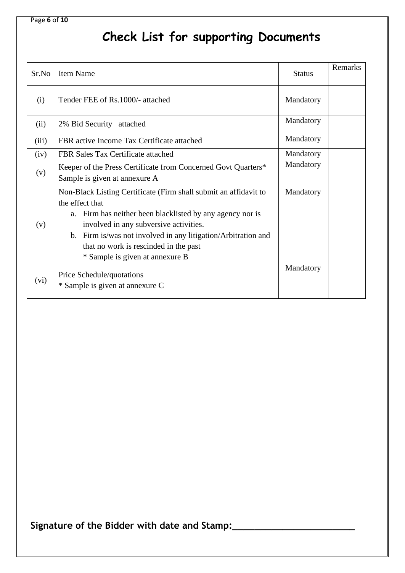### Page **6** of **10**

# <span id="page-5-0"></span> **Check List for supporting Documents**

| Sr.No | <b>Item Name</b>                                                                                                                                                                                                                                                                                                                           | <b>Status</b> | Remarks |
|-------|--------------------------------------------------------------------------------------------------------------------------------------------------------------------------------------------------------------------------------------------------------------------------------------------------------------------------------------------|---------------|---------|
| (i)   | Tender FEE of Rs.1000/- attached                                                                                                                                                                                                                                                                                                           | Mandatory     |         |
| (ii)  | 2% Bid Security<br>attached                                                                                                                                                                                                                                                                                                                | Mandatory     |         |
| (iii) | FBR active Income Tax Certificate attached                                                                                                                                                                                                                                                                                                 | Mandatory     |         |
| (iv)  | FBR Sales Tax Certificate attached                                                                                                                                                                                                                                                                                                         | Mandatory     |         |
| (v)   | Keeper of the Press Certificate from Concerned Govt Quarters*<br>Sample is given at annexure A                                                                                                                                                                                                                                             | Mandatory     |         |
| (v)   | Non-Black Listing Certificate (Firm shall submit an affidavit to<br>the effect that<br>Firm has neither been blacklisted by any agency nor is<br>a.<br>involved in any subversive activities.<br>b. Firm is/was not involved in any litigation/Arbitration and<br>that no work is rescinded in the past<br>* Sample is given at annexure B | Mandatory     |         |
| (vi)  | Price Schedule/quotations<br>* Sample is given at annexure C                                                                                                                                                                                                                                                                               | Mandatory     |         |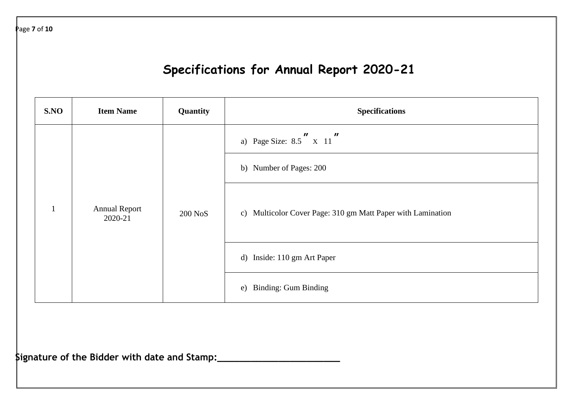Page **7** of **10**

# **Specifications for Annual Report 2020-21**

<span id="page-6-0"></span>

| S.NO         | <b>Item Name</b>                | Quantity | <b>Specifications</b>                                                                                                                                                                                                    |  |  |  |  |
|--------------|---------------------------------|----------|--------------------------------------------------------------------------------------------------------------------------------------------------------------------------------------------------------------------------|--|--|--|--|
| $\mathbf{1}$ | <b>Annual Report</b><br>2020-21 | 200 NoS  | a) Page Size: $8.5$ $\begin{array}{ccc} \textbf{n} & \textbf{n} \\ \textbf{x} & 11 \end{array}$<br>b) Number of Pages: 200<br>c) Multicolor Cover Page: 310 gm Matt Paper with Lamination<br>d) Inside: 110 gm Art Paper |  |  |  |  |
|              |                                 |          | e) Binding: Gum Binding                                                                                                                                                                                                  |  |  |  |  |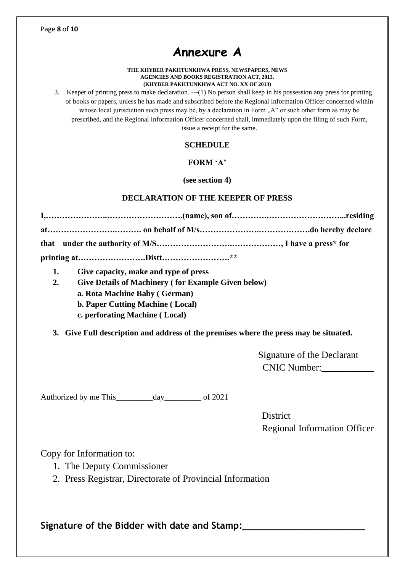## **Annexure A**

#### **THE KHYBER PAKHTUNKHWA PRESS, NEWSPAPERS, NEWS AGENCIES AND BOOKS REGISTRATION ACT, 2013. (KHYBER PAKHTUNKHWA ACT NO. XX OF 2013)**

<span id="page-7-0"></span>3. Keeper of printing press to make declaration. ---(1) No person shall keep in his possession any press for printing of books or papers, unless he has made and subscribed before the Regional Information Officer concerned within whose local jurisdiction such press may be, by a declaration in Form  $A^{\prime\prime}$  or such other form as may be prescribed, and the Regional Information Officer concerned shall, immediately upon the filing of such Form, issue a receipt for the same.

#### **SCHEDULE**

#### **FORM 'A'**

**(see section 4)**

#### **DECLARATION OF THE KEEPER OF PRESS**

- **1. Give capacity, make and type of press**
- **2. Give Details of Machinery ( for Example Given below)**
	- **a. Rota Machine Baby ( German)**
	- **b. Paper Cutting Machine ( Local)**
	- **c. perforating Machine ( Local)**

**3. Give Full description and address of the premises where the press may be situated.**

 Signature of the Declarant CNIC Number:\_\_\_\_\_\_\_\_\_\_\_

Authorized by me This\_\_\_\_\_\_\_\_\_day\_\_\_\_\_\_\_\_\_ of 2021

**District** Regional Information Officer

Copy for Information to:

- 1. The Deputy Commissioner
- 2. Press Registrar, Directorate of Provincial Information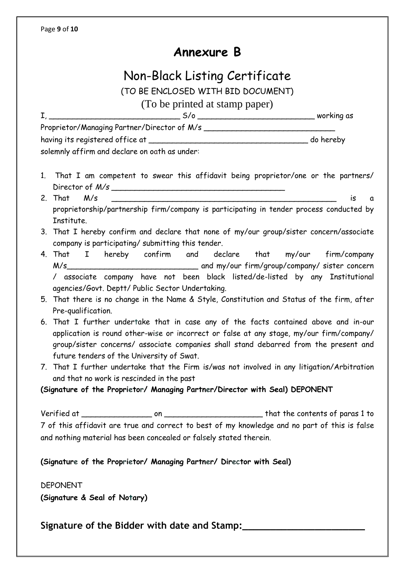## **Annexure B**

## Non-Black Listing Certificate

(TO BE ENCLOSED WITH BID DOCUMENT)

(To be printed at stamp paper)

<span id="page-8-0"></span>I, \_\_\_\_\_\_\_\_\_\_\_\_\_\_\_\_\_\_\_\_\_\_\_\_\_\_\_\_ S/o \_\_\_\_\_\_\_\_\_\_\_\_\_\_\_\_\_\_\_\_\_\_\_\_\_ working as

Proprietor/Managing Partner/Director of M/s having its registered office at \_\_\_\_\_\_\_\_\_\_\_\_\_\_\_\_\_\_\_\_\_\_\_\_\_\_\_\_\_\_\_\_\_\_ do hereby

solemnly affirm and declare on oath as under:

- 1. That I am competent to swear this affidavit being proprietor/one or the partners/ Director of *M/s* \_\_\_\_\_\_\_\_\_\_\_\_\_\_\_\_\_\_\_\_\_\_\_\_\_\_\_\_\_\_\_\_\_\_\_\_\_
- 2. That M/s \_\_\_\_\_\_\_\_\_\_\_\_\_\_\_\_\_\_\_\_\_\_\_\_\_\_\_\_\_\_\_\_\_\_\_\_\_\_\_\_\_\_\_\_\_\_\_\_ is a proprietorship/partnership firm/company is participating in tender process conducted by Institute.
- 3. That I hereby confirm and declare that none of my/our group/sister concern/associate company is participating/ submitting this tender.
- 4. That I hereby confirm and declare that my/our firm/company M/s\_\_\_\_\_\_\_\_\_\_\_\_\_\_\_\_\_\_\_\_\_\_\_\_\_\_\_\_ and my/our firm/group/company/ sister concern / associate company have not been black listed/de-listed by any Institutional agencies/Govt. Deptt/ Public Sector Undertaking.
- 5. That there is no change in the Name & Style, Constitution and Status of the firm, after Pre-qualification.
- 6. That I further undertake that in case any of the facts contained above and in-our application is round other-wise or incorrect or false at any stage, my/our firm/company/ group/sister concerns/ associate companies shall stand debarred from the present and future tenders of the University of Swat.
- 7. That I further undertake that the Firm is/was not involved in any litigation/Arbitration and that no work is rescinded in the past

**(Signature of the Proprietor/ Managing Partner/Director with Seal) DEPONENT** 

Verified at \_\_\_\_\_\_\_\_\_\_\_\_\_\_\_ on \_\_\_\_\_\_\_\_\_\_\_\_\_\_\_\_\_\_\_\_\_ that the contents of paras 1 to 7 of this affidavit are true and correct to best of my knowledge and no part of this is false and nothing material has been concealed or falsely stated therein.

**(Signature of the Proprietor/ Managing Partner/ Director with Seal)** 

DEPONENT **(Signature & Seal of Notary)**